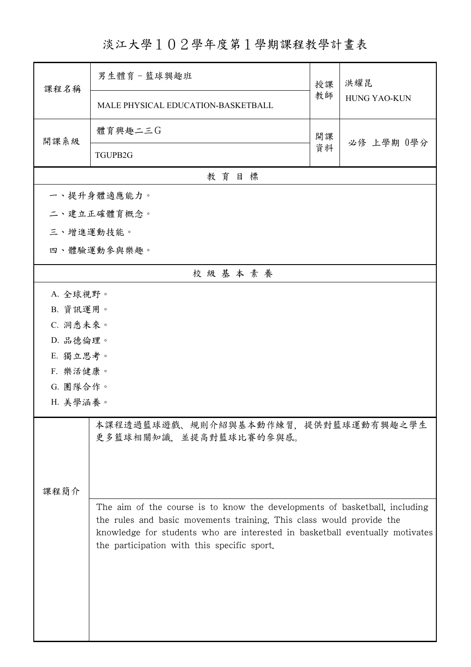淡江大學102學年度第1學期課程教學計畫表

| 課程名稱      | 男生體育-籃球興趣班                                                                                                                                                                                                                                                                        | 授課 | 洪耀昆<br><b>HUNG YAO-KUN</b> |  |  |
|-----------|-----------------------------------------------------------------------------------------------------------------------------------------------------------------------------------------------------------------------------------------------------------------------------------|----|----------------------------|--|--|
|           | MALE PHYSICAL EDUCATION-BASKETBALL                                                                                                                                                                                                                                                | 教師 |                            |  |  |
| 開課系級      | 體育興趣二三G                                                                                                                                                                                                                                                                           | 開課 | 必修 上學期 0學分                 |  |  |
|           | TGUPB2G                                                                                                                                                                                                                                                                           | 資料 |                            |  |  |
|           | 教育目標                                                                                                                                                                                                                                                                              |    |                            |  |  |
|           | 一、提升身體適應能力。                                                                                                                                                                                                                                                                       |    |                            |  |  |
|           | 二、建立正確體育概念。                                                                                                                                                                                                                                                                       |    |                            |  |  |
| 三、增進運動技能。 |                                                                                                                                                                                                                                                                                   |    |                            |  |  |
|           | 四、體驗運動參與樂趣。                                                                                                                                                                                                                                                                       |    |                            |  |  |
|           | 校級基本素養                                                                                                                                                                                                                                                                            |    |                            |  |  |
| A. 全球視野。  |                                                                                                                                                                                                                                                                                   |    |                            |  |  |
| B. 資訊運用。  |                                                                                                                                                                                                                                                                                   |    |                            |  |  |
| C. 洞悉未來。  |                                                                                                                                                                                                                                                                                   |    |                            |  |  |
| D. 品德倫理。  |                                                                                                                                                                                                                                                                                   |    |                            |  |  |
| E. 獨立思考。  |                                                                                                                                                                                                                                                                                   |    |                            |  |  |
| F. 樂活健康。  |                                                                                                                                                                                                                                                                                   |    |                            |  |  |
|           | G. 團隊合作。                                                                                                                                                                                                                                                                          |    |                            |  |  |
| H. 美學涵養。  |                                                                                                                                                                                                                                                                                   |    |                            |  |  |
|           | 本課程透過籃球遊戲、規則介紹與基本動作練習,提供對籃球運動有興趣之學生<br>更多籃球相關知識,並提高對籃球比賽的參與感。                                                                                                                                                                                                                     |    |                            |  |  |
| 課程簡介      |                                                                                                                                                                                                                                                                                   |    |                            |  |  |
|           | The aim of the course is to know the developments of basketball, including<br>the rules and basic movements training. This class would provide the<br>knowledge for students who are interested in basketball eventually motivates<br>the participation with this specific sport. |    |                            |  |  |
|           |                                                                                                                                                                                                                                                                                   |    |                            |  |  |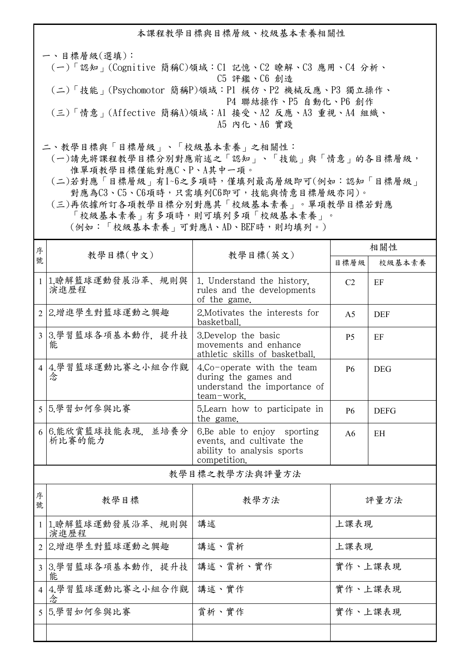本課程教學目標與目標層級、校級基本素養相關性

一、目標層級(選填): (一)「認知」(Cognitive 簡稱C)領域:C1 記憶、C2 瞭解、C3 應用、C4 分析、 C5 評鑑、C6 創造 (二)「技能」(Psychomotor 簡稱P)領域:P1 模仿、P2 機械反應、P3 獨立操作、 P4 聯結操作、P5 自動化、P6 創作 (三)「情意」(Affective 簡稱A)領域:A1 接受、A2 反應、A3 重視、A4 組織、 A5 內化、A6 實踐

二、教學目標與「目標層級」、「校級基本素養」之相關性:

 (一)請先將課程教學目標分別對應前述之「認知」、「技能」與「情意」的各目標層級, 惟單項教學目標僅能對應C、P、A其中一項。

 (二)若對應「目標層級」有1~6之多項時,僅填列最高層級即可(例如:認知「目標層級」 對應為C3、C5、C6項時,只需填列C6即可,技能與情意目標層級亦同)。

 (三)再依據所訂各項教學目標分別對應其「校級基本素養」。單項教學目標若對應 「校級基本素養」有多項時,則可填列多項「校級基本素養」。 (例如:「校級基本素養」可對應A、AD、BEF時,則均填列。)

| 序              | 教學目標(中文)                   | 教學目標(英文)                                                                                               | 相關性            |             |  |
|----------------|----------------------------|--------------------------------------------------------------------------------------------------------|----------------|-------------|--|
| 號              |                            |                                                                                                        | 目標層級           | 校級基本素養      |  |
| $\mathbf{1}$   | 1.瞭解籃球運動發展沿革、規則與<br>演進歷程   | 1. Understand the history.<br>rules and the developments<br>of the game.                               | C <sub>2</sub> | EF          |  |
| $\overline{2}$ | 2.增進學生對籃球運動之興趣             | 2. Motivates the interests for<br>basketball.                                                          | A <sub>5</sub> | <b>DEF</b>  |  |
| $\overline{3}$ | 3.學習籃球各項基本動作,提升技<br>能      | 3.Develop the basic<br>movements and enhance<br>athletic skills of basketball.                         | P <sub>5</sub> | EF          |  |
|                | 4 4.學習籃球運動比賽之小組合作觀<br>念    | 4.Co-operate with the team<br>during the games and<br>understand the importance of<br>team-work.       | <b>P6</b>      | <b>DEG</b>  |  |
|                | 5 5.學習如何參與比賽               | 5. Learn how to participate in<br>the game.                                                            | <b>P6</b>      | <b>DEFG</b> |  |
| 6              | 6.能欣賞籃球技能表現,並培養分<br>析比賽的能力 | 6.Be able to enjoy sporting<br>events, and cultivate the<br>ability to analysis sports<br>competition. | A6             | EН          |  |
| 教學目標之教學方法與評量方法 |                            |                                                                                                        |                |             |  |
| 序<br>號         | 教學目標                       | 教學方法                                                                                                   |                | 評量方法        |  |
|                | 1 1.瞭解籃球運動發展沿革、規則與<br>演進歷程 | 講述                                                                                                     | 上課表現           |             |  |
|                | 2 2.增進學生對籃球運動之興趣           | 講述、賞析                                                                                                  | 上課表現           |             |  |
|                | 3 3.學習籃球各項基本動作, 提升技<br>能   | 講述、賞析、實作                                                                                               | 實作、上課表現        |             |  |
|                | 4 4.學習籃球運動比賽之小組合作觀<br>念    | 講述、實作                                                                                                  | 實作、上課表現        |             |  |
|                | 55.學習如何參與比賽                | 賞析、實作                                                                                                  | 實作、上課表現        |             |  |
|                |                            |                                                                                                        |                |             |  |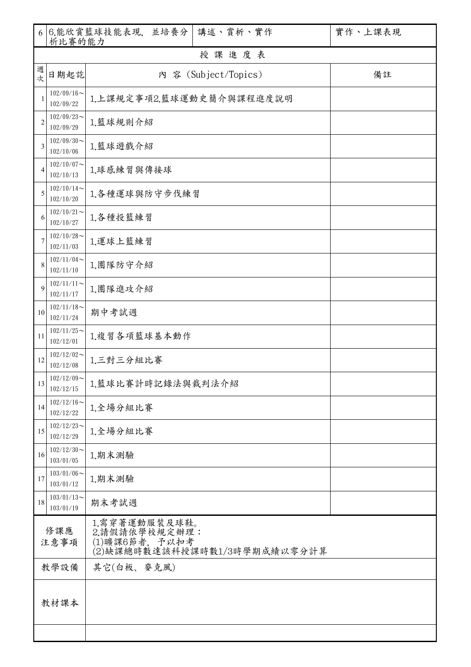|                    | 析比賽的能力                        | 6 6 能欣賞籃球技能表現, 並培養分                                                              | 講述、賞析、實作             | 實作、上課表現 |  |  |  |  |  |
|--------------------|-------------------------------|----------------------------------------------------------------------------------|----------------------|---------|--|--|--|--|--|
|                    | 授課進度表                         |                                                                                  |                      |         |  |  |  |  |  |
| 週<br>次             | 日期起訖                          |                                                                                  | 內 容 (Subject/Topics) | 備註      |  |  |  |  |  |
| 1                  | $102/09/16$ ~<br>102/09/22    | 1.上課規定事項2.籃球運動史簡介與課程進度說明                                                         |                      |         |  |  |  |  |  |
| $\overline{2}$     | $102/09/23$ ~<br>102/09/29    | 1.籃球規則介紹                                                                         |                      |         |  |  |  |  |  |
| 3                  | $102/09/30$ ~<br>102/10/06    | 1.籃球遊戲介紹                                                                         |                      |         |  |  |  |  |  |
| 4                  | $102/10/07$ ~<br>102/10/13    | 1.球感練習與傳接球                                                                       |                      |         |  |  |  |  |  |
| 5                  | $102/10/14$ ~<br>102/10/20    | 1.各種運球與防守步伐練習                                                                    |                      |         |  |  |  |  |  |
| 6                  | $102/10/21$ ~<br>102/10/27    | 1.各種投籃練習                                                                         |                      |         |  |  |  |  |  |
| 7                  | $102/10/28$ ~<br>102/11/03    | 1.運球上籃練習                                                                         |                      |         |  |  |  |  |  |
| 8                  | $102/11/04$ ~<br>102/11/10    | 1.團隊防守介紹                                                                         |                      |         |  |  |  |  |  |
| 9                  | $102/11/11$ ~<br>102/11/17    | 1.團隊進攻介紹                                                                         |                      |         |  |  |  |  |  |
| 10                 | $102/11/18$ ~<br>102/11/24    | 期中考試週                                                                            |                      |         |  |  |  |  |  |
| 11                 | $102/11/25$ ~<br>102/12/01    | 1.複習各項籃球基本動作                                                                     |                      |         |  |  |  |  |  |
| 12                 | $102/12/02$ ~<br>102/12/08    | 1.三對三分組比賽                                                                        |                      |         |  |  |  |  |  |
| 13                 | $102/12/09$ ~<br>102/12/15    | 1.籃球比賽計時記錄法與裁判法介紹                                                                |                      |         |  |  |  |  |  |
| 14                 | $102/12/16 \sim$<br>102/12/22 | 1.全場分組比賽                                                                         |                      |         |  |  |  |  |  |
| 15                 | $102/12/23$ ~<br>102/12/29    | 1.全場分組比賽                                                                         |                      |         |  |  |  |  |  |
| 16                 | $102/12/30$ ~<br>103/01/05    | 1.期末測驗                                                                           |                      |         |  |  |  |  |  |
| 17                 | $103/01/06$ ~<br>103/01/12    | 1.期末測驗                                                                           |                      |         |  |  |  |  |  |
| 18                 | $103/01/13$ ~<br>103/01/19    | 期末考試週                                                                            |                      |         |  |  |  |  |  |
| 修課應<br>注意事項        |                               | 1.需穿著運動服裝及球鞋。<br>2.請假請依學校規定辦理:<br>(1)曠課6節者, 予以扣考<br>(2)缺課總時數達該科授課時數1/3時學期成績以零分計算 |                      |         |  |  |  |  |  |
| 其它(白板、麥克風)<br>教學設備 |                               |                                                                                  |                      |         |  |  |  |  |  |
| 教材課本               |                               |                                                                                  |                      |         |  |  |  |  |  |
|                    |                               |                                                                                  |                      |         |  |  |  |  |  |